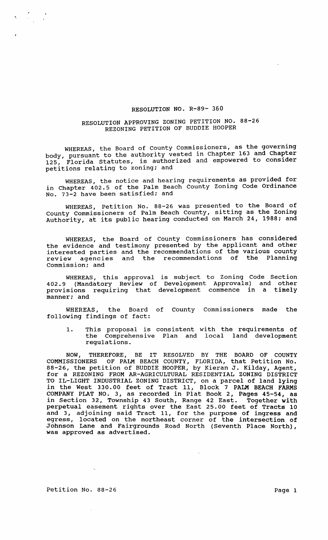## RESOLUTION NO. R-89- 360

## RESOLUTION APPROVING ZONING PETITION NO. 88-26 REZONING PETITION OF BUDDIE HOOPER

WHEREAS, the Board of county Commissioners, as the governing body, pursuant to the authority vested in Chapter 163 and Chapter 125, Florida Statutes, is authorized and empowered to consider petitions relating to zoning: and OLUTION APPROVING ZONING PETITION NO. 88-26<br>REZONING PETITION OF BUDDIE HOOPER<br>, the Board of County Commissioners, as the governing<br>nt to the authority vested in Chapter 163 and Chapter<br>statutes, is authorized and empower

WHEREAS, the notice and hearing requirements as provided for in Chapter 402.5 Code Ordinance No. 73-2 have been satisfied: and

WHEREAS, Petition No. 88-26 was presented to the Board of County Commissioners of Palm Beach County, sitting as the Zoning Authority, at its public hearing conducted on March 24, 1988; and

WHEREAS, the Board of County Commissioners has considered the evidence and testimony presented by the applicant and other interested parties and the recommendations of the various county review agencies and the recommendations of the Planning commission; and

WHEREAS, this approval is subject to Zoning Code Section 402.9 (Mandatory Review of Development Approvals) and other provisions requiring that development commence in a timely manner; and

WHEREAS, the Board of County Commissioners made the following findings of fact:

1. This proposal is consistent with the requirements of the Comprehensive Plan and local land development regulations.

NOW, THEREFORE, BE IT RESOLVED BY THE BOARD OF COUNTY COMMISSIONERS OF PALM BEACH COUNTY, FLORIDA, that Petition No. 88-26, the petition of BUDDIE HOOPER, by Kieran J. Kilday, Agent, for a REZONING FROM AR-AGRICULTURAL RESIDENTIAL ZONING DISTRICT TO IL-LIGHT INDUSTRIAL ZONING DISTRICT, on a parcel of land lying in the West 330.00 feet of Tract 11, Block 7 PALM BEACH FARMS COMPANY PLAT NO.3, as recorded in Plat Book 2, Pages 45-54, as in section 32, Township 43 South, Range 42 East. Together with perpetual easement rights over the East 25.00 feet of Tracts 10 and 3, adjoining said Tract 11, for the purpose of ingress and egress, located on the northeast corner of the intersection of Johnson Lane and Fairgrounds Road North (Seventh Place North), was approved as advertised.

 $\mathcal{A}_\bullet$ 

 $\sim$